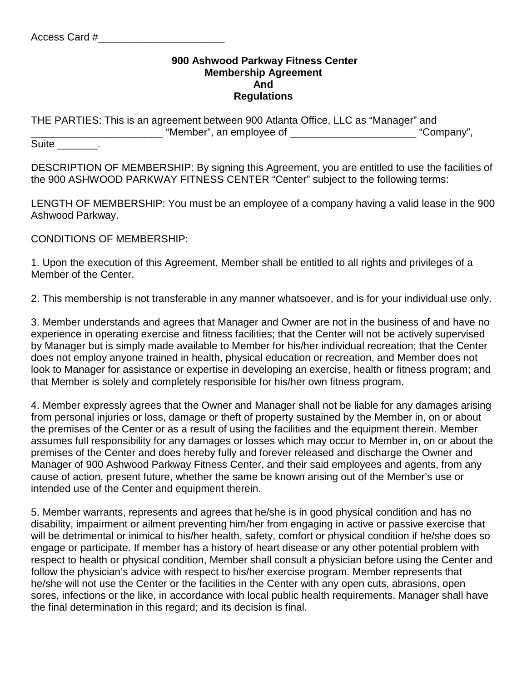## **900 Ashwood Parkway Fitness Center Membership Agreement And Regulations**

| THE PARTIES: This is an agreement between 900 Atlanta Office, LLC as "Manager" and |            |
|------------------------------------------------------------------------------------|------------|
| . "Member", an employee of                                                         | "Company", |

Suite Suite

DESCRIPTION OF MEMBERSHIP: By signing this Agreement, you are entitled to use the facilities of the 900 ASHWOOD PARKWAY FITNESS CENTER "Center" subject to the following terms:

LENGTH OF MEMBERSHIP: You must be an employee of a company having a valid lease in the 900 Ashwood Parkway.

CONDITIONS OF MEMBERSHIP:

1. Upon the execution of this Agreement, Member shall be entitled to all rights and privileges of a Member of the Center.

2. This membership is not transferable in any manner whatsoever, and is for your individual use only.

3. Member understands and agrees that Manager and Owner are not in the business of and have no experience in operating exercise and fitness facilities; that the Center will not be actively supervised by Manager but is simply made available to Member for his/her individual recreation; that the Center does not employ anyone trained in health, physical education or recreation, and Member does not look to Manager for assistance or expertise in developing an exercise, health or fitness program; and that Member is solely and completely responsible for his/her own fitness program.

4. Member expressly agrees that the Owner and Manager shall not be liable for any damages arising from personal injuries or loss, damage or theft of property sustained by the Member in, on or about the premises of the Center or as a result of using the facilities and the equipment therein. Member assumes full responsibility for any damages or losses which may occur to Member in, on or about the premises of the Center and does hereby fully and forever released and discharge the Owner and Manager of 900 Ashwood Parkway Fitness Center, and their said employees and agents, from any cause of action, present future, whether the same be known arising out of the Member's use or intended use of the Center and equipment therein.

5. Member warrants, represents and agrees that he/she is in good physical condition and has no disability, impairment or ailment preventing him/her from engaging in active or passive exercise that will be detrimental or inimical to his/her health, safety, comfort or physical condition if he/she does so engage or participate. If member has a history of heart disease or any other potential problem with respect to health or physical condition, Member shall consult a physician before using the Center and follow the physician's advice with respect to his/her exercise program. Member represents that he/she will not use the Center or the facilities in the Center with any open cuts, abrasions, open sores, infections or the like, in accordance with local public health requirements. Manager shall have the final determination in this regard; and its decision is final.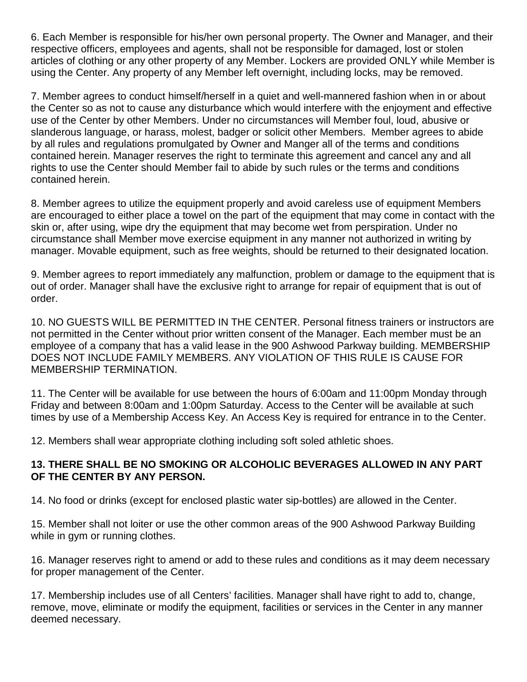6. Each Member is responsible for his/her own personal property. The Owner and Manager, and their respective officers, employees and agents, shall not be responsible for damaged, lost or stolen articles of clothing or any other property of any Member. Lockers are provided ONLY while Member is using the Center. Any property of any Member left overnight, including locks, may be removed.

7. Member agrees to conduct himself/herself in a quiet and well-mannered fashion when in or about the Center so as not to cause any disturbance which would interfere with the enjoyment and effective use of the Center by other Members. Under no circumstances will Member foul, loud, abusive or slanderous language, or harass, molest, badger or solicit other Members. Member agrees to abide by all rules and regulations promulgated by Owner and Manger all of the terms and conditions contained herein. Manager reserves the right to terminate this agreement and cancel any and all rights to use the Center should Member fail to abide by such rules or the terms and conditions contained herein.

8. Member agrees to utilize the equipment properly and avoid careless use of equipment Members are encouraged to either place a towel on the part of the equipment that may come in contact with the skin or, after using, wipe dry the equipment that may become wet from perspiration. Under no circumstance shall Member move exercise equipment in any manner not authorized in writing by manager. Movable equipment, such as free weights, should be returned to their designated location.

9. Member agrees to report immediately any malfunction, problem or damage to the equipment that is out of order. Manager shall have the exclusive right to arrange for repair of equipment that is out of order.

10. NO GUESTS WILL BE PERMITTED IN THE CENTER. Personal fitness trainers or instructors are not permitted in the Center without prior written consent of the Manager. Each member must be an employee of a company that has a valid lease in the 900 Ashwood Parkway building. MEMBERSHIP DOES NOT INCLUDE FAMILY MEMBERS. ANY VIOLATION OF THIS RULE IS CAUSE FOR MEMBERSHIP TERMINATION.

11. The Center will be available for use between the hours of 6:00am and 11:00pm Monday through Friday and between 8:00am and 1:00pm Saturday. Access to the Center will be available at such times by use of a Membership Access Key. An Access Key is required for entrance in to the Center.

12. Members shall wear appropriate clothing including soft soled athletic shoes.

## **13. THERE SHALL BE NO SMOKING OR ALCOHOLIC BEVERAGES ALLOWED IN ANY PART OF THE CENTER BY ANY PERSON.**

14. No food or drinks (except for enclosed plastic water sip-bottles) are allowed in the Center.

15. Member shall not loiter or use the other common areas of the 900 Ashwood Parkway Building while in gym or running clothes.

16. Manager reserves right to amend or add to these rules and conditions as it may deem necessary for proper management of the Center.

17. Membership includes use of all Centers' facilities. Manager shall have right to add to, change, remove, move, eliminate or modify the equipment, facilities or services in the Center in any manner deemed necessary.